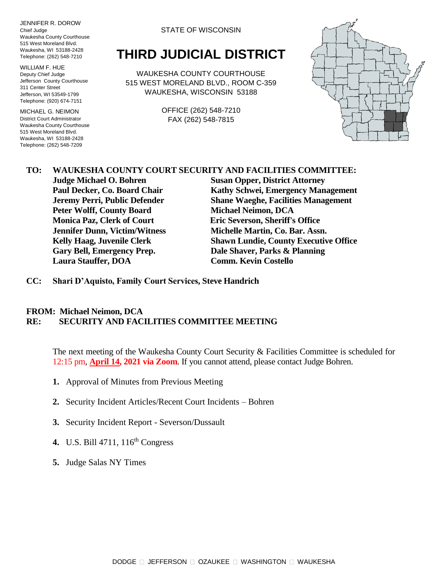JENNIFER R. DOROW Chief Judge Waukesha County Courthouse 515 West Moreland Blvd. Waukesha, WI 53188-2428 Telephone: (262) 548-7210

WILLIAM F. HUE Deputy Chief Judge Jefferson County Courthouse 311 Center Street Jefferson, WI 53549-1799 Telephone: (920) 674-7151

MICHAEL G. NEIMON District Court Administrator Waukesha County Courthouse 515 West Moreland Blvd. Waukesha, WI 53188-2428 Telephone: (262) 548-7209

STATE OF WISCONSIN

## **THIRD JUDICIAL DISTRICT**

WAUKESHA COUNTY COURTHOUSE 515 WEST MORELAND BLVD., ROOM C-359 WAUKESHA, WISCONSIN 53188

> OFFICE (262) 548-7210 FAX (262) 548-7815



## **TO: WAUKESHA COUNTY COURT SECURITY AND FACILITIES COMMITTEE:**

**Peter Wolff, County Board Michael Neimon, DCA Monica Paz, Clerk of Court Eric Severson, Sheriff's Office Jennifer Dunn, Victim/Witness Michelle Martin, Co. Bar. Assn. Gary Bell, Emergency Prep. Dale Shaver, Parks & Planning Laura Stauffer, DOA Comm. Kevin Costello**

**Judge Michael O. Bohren Susan Opper, District Attorney Paul Decker, Co. Board Chair Kathy Schwei, Emergency Management Jeremy Perri, Public Defender Shane Waeghe, Facilities Management Kelly Haag, Juvenile Clerk Shawn Lundie, County Executive Office**

**CC: Shari D'Aquisto, Family Court Services, Steve Handrich**

## **FROM: Michael Neimon, DCA RE: SECURITY AND FACILITIES COMMITTEE MEETING**

The next meeting of the Waukesha County Court Security & Facilities Committee is scheduled for 12:15 pm, **April 14, 2021 via Zoom**. If you cannot attend, please contact Judge Bohren.

- **1.** Approval of Minutes from Previous Meeting
- **2.** Security Incident Articles/Recent Court Incidents Bohren
- **3.** Security Incident Report Severson/Dussault
- **4.** U.S. Bill 4711, 116th Congress
- **5.** Judge Salas NY Times